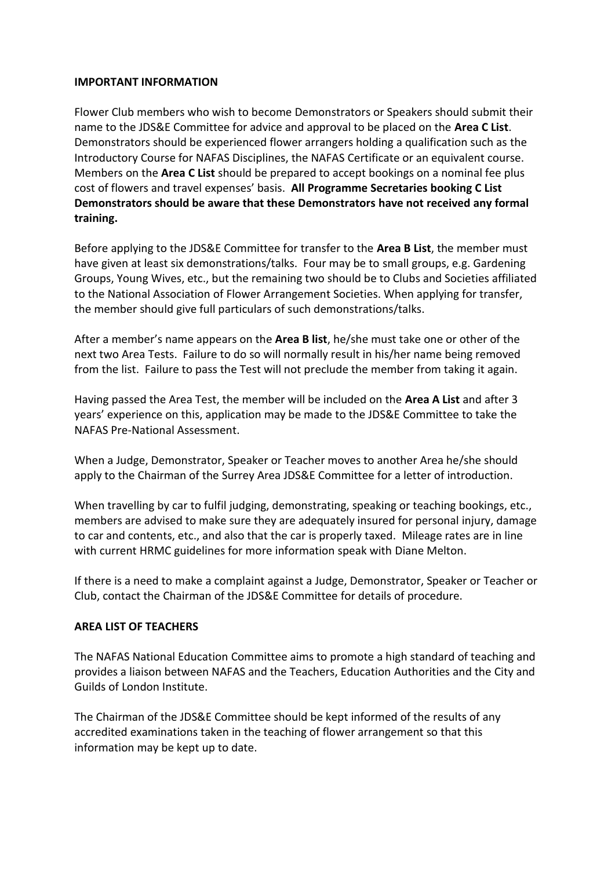## **IMPORTANT INFORMATION**

Flower Club members who wish to become Demonstrators or Speakers should submit their name to the JDS&E Committee for advice and approval to be placed on the **Area C List**. Demonstrators should be experienced flower arrangers holding a qualification such as the Introductory Course for NAFAS Disciplines, the NAFAS Certificate or an equivalent course. Members on the **Area C List** should be prepared to accept bookings on a nominal fee plus cost of flowers and travel expenses' basis. **All Programme Secretaries booking C List Demonstrators should be aware that these Demonstrators have not received any formal training.**

Before applying to the JDS&E Committee for transfer to the **Area B List**, the member must have given at least six demonstrations/talks. Four may be to small groups, e.g. Gardening Groups, Young Wives, etc., but the remaining two should be to Clubs and Societies affiliated to the National Association of Flower Arrangement Societies. When applying for transfer, the member should give full particulars of such demonstrations/talks.

After a member's name appears on the **Area B list**, he/she must take one or other of the next two Area Tests. Failure to do so will normally result in his/her name being removed from the list. Failure to pass the Test will not preclude the member from taking it again.

Having passed the Area Test, the member will be included on the **Area A List** and after 3 years' experience on this, application may be made to the JDS&E Committee to take the NAFAS Pre-National Assessment.

When a Judge, Demonstrator, Speaker or Teacher moves to another Area he/she should apply to the Chairman of the Surrey Area JDS&E Committee for a letter of introduction.

When travelling by car to fulfil judging, demonstrating, speaking or teaching bookings, etc., members are advised to make sure they are adequately insured for personal injury, damage to car and contents, etc., and also that the car is properly taxed. Mileage rates are in line with current HRMC guidelines for more information speak with Diane Melton.

If there is a need to make a complaint against a Judge, Demonstrator, Speaker or Teacher or Club, contact the Chairman of the JDS&E Committee for details of procedure.

## **AREA LIST OF TEACHERS**

The NAFAS National Education Committee aims to promote a high standard of teaching and provides a liaison between NAFAS and the Teachers, Education Authorities and the City and Guilds of London Institute.

The Chairman of the JDS&E Committee should be kept informed of the results of any accredited examinations taken in the teaching of flower arrangement so that this information may be kept up to date.